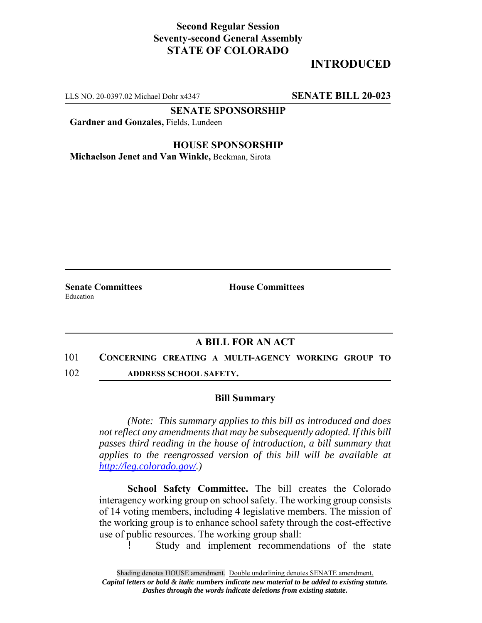## **Second Regular Session Seventy-second General Assembly STATE OF COLORADO**

## **INTRODUCED**

LLS NO. 20-0397.02 Michael Dohr x4347 **SENATE BILL 20-023**

**SENATE SPONSORSHIP**

**Gardner and Gonzales,** Fields, Lundeen

**HOUSE SPONSORSHIP**

**Michaelson Jenet and Van Winkle,** Beckman, Sirota

Education

**Senate Committees House Committees** 

## **A BILL FOR AN ACT**

- 101 **CONCERNING CREATING A MULTI-AGENCY WORKING GROUP TO**
- 102 **ADDRESS SCHOOL SAFETY.**

## **Bill Summary**

*(Note: This summary applies to this bill as introduced and does not reflect any amendments that may be subsequently adopted. If this bill passes third reading in the house of introduction, a bill summary that applies to the reengrossed version of this bill will be available at http://leg.colorado.gov/.)*

**School Safety Committee.** The bill creates the Colorado interagency working group on school safety. The working group consists of 14 voting members, including 4 legislative members. The mission of the working group is to enhance school safety through the cost-effective use of public resources. The working group shall:

! Study and implement recommendations of the state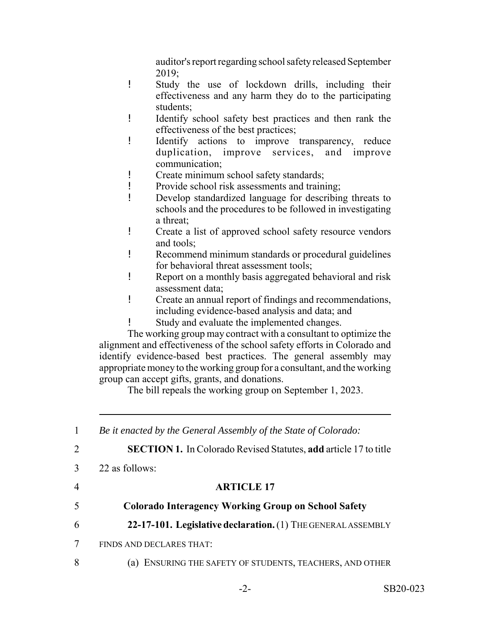auditor's report regarding school safety released September 2019;

- ! Study the use of lockdown drills, including their effectiveness and any harm they do to the participating students;
- ! Identify school safety best practices and then rank the effectiveness of the best practices;
- ! Identify actions to improve transparency, reduce duplication, improve services, and improve communication;
- ! Create minimum school safety standards;
- ! Provide school risk assessments and training;
- ! Develop standardized language for describing threats to schools and the procedures to be followed in investigating a threat;
- ! Create a list of approved school safety resource vendors and tools;
- ! Recommend minimum standards or procedural guidelines for behavioral threat assessment tools;
- ! Report on a monthly basis aggregated behavioral and risk assessment data;
- ! Create an annual report of findings and recommendations, including evidence-based analysis and data; and
- ! Study and evaluate the implemented changes.

The working group may contract with a consultant to optimize the alignment and effectiveness of the school safety efforts in Colorado and identify evidence-based best practices. The general assembly may appropriate money to the working group for a consultant, and the working group can accept gifts, grants, and donations.

The bill repeals the working group on September 1, 2023.

 *Be it enacted by the General Assembly of the State of Colorado:* **SECTION 1.** In Colorado Revised Statutes, **add** article 17 to title 22 as follows: **ARTICLE 17 Colorado Interagency Working Group on School Safety 22-17-101. Legislative declaration.** (1) THE GENERAL ASSEMBLY FINDS AND DECLARES THAT: 8 (a) ENSURING THE SAFETY OF STUDENTS, TEACHERS, AND OTHER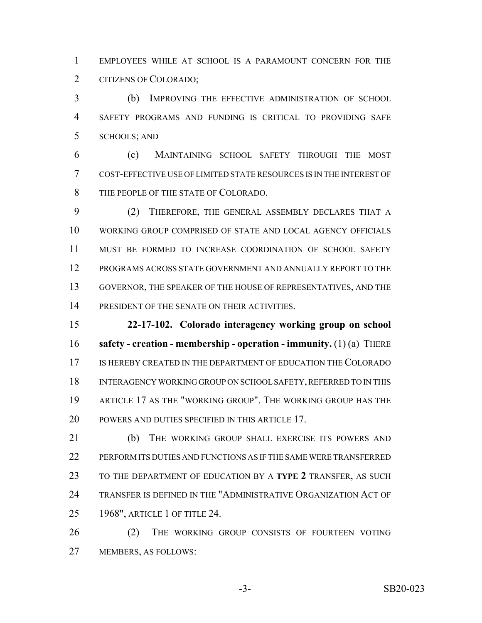EMPLOYEES WHILE AT SCHOOL IS A PARAMOUNT CONCERN FOR THE CITIZENS OF COLORADO;

 (b) IMPROVING THE EFFECTIVE ADMINISTRATION OF SCHOOL SAFETY PROGRAMS AND FUNDING IS CRITICAL TO PROVIDING SAFE SCHOOLS; AND

 (c) MAINTAINING SCHOOL SAFETY THROUGH THE MOST COST-EFFECTIVE USE OF LIMITED STATE RESOURCES IS IN THE INTEREST OF THE PEOPLE OF THE STATE OF COLORADO.

 (2) THEREFORE, THE GENERAL ASSEMBLY DECLARES THAT A WORKING GROUP COMPRISED OF STATE AND LOCAL AGENCY OFFICIALS MUST BE FORMED TO INCREASE COORDINATION OF SCHOOL SAFETY PROGRAMS ACROSS STATE GOVERNMENT AND ANNUALLY REPORT TO THE GOVERNOR, THE SPEAKER OF THE HOUSE OF REPRESENTATIVES, AND THE PRESIDENT OF THE SENATE ON THEIR ACTIVITIES.

 **22-17-102. Colorado interagency working group on school safety - creation - membership - operation - immunity.** (1) (a) THERE IS HEREBY CREATED IN THE DEPARTMENT OF EDUCATION THE COLORADO INTERAGENCY WORKING GROUP ON SCHOOL SAFETY, REFERRED TO IN THIS ARTICLE 17 AS THE "WORKING GROUP". THE WORKING GROUP HAS THE 20 POWERS AND DUTIES SPECIFIED IN THIS ARTICLE 17.

21 (b) THE WORKING GROUP SHALL EXERCISE ITS POWERS AND PERFORM ITS DUTIES AND FUNCTIONS AS IF THE SAME WERE TRANSFERRED TO THE DEPARTMENT OF EDUCATION BY A **TYPE 2** TRANSFER, AS SUCH TRANSFER IS DEFINED IN THE "ADMINISTRATIVE ORGANIZATION ACT OF 1968", ARTICLE 1 OF TITLE 24.

26 (2) THE WORKING GROUP CONSISTS OF FOURTEEN VOTING MEMBERS, AS FOLLOWS: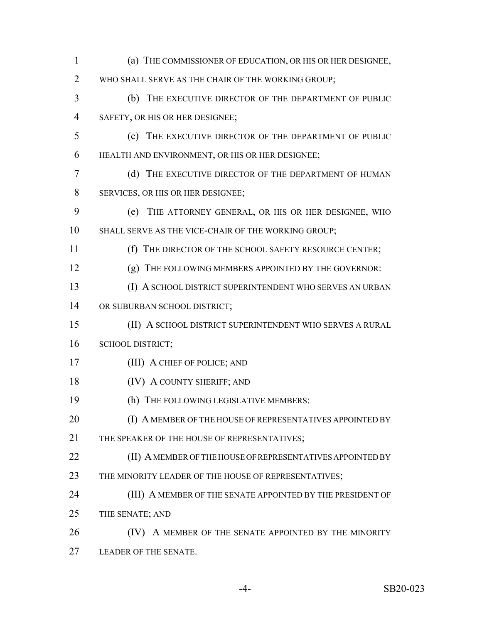(a) THE COMMISSIONER OF EDUCATION, OR HIS OR HER DESIGNEE, WHO SHALL SERVE AS THE CHAIR OF THE WORKING GROUP; (b) THE EXECUTIVE DIRECTOR OF THE DEPARTMENT OF PUBLIC SAFETY, OR HIS OR HER DESIGNEE; (c) THE EXECUTIVE DIRECTOR OF THE DEPARTMENT OF PUBLIC HEALTH AND ENVIRONMENT, OR HIS OR HER DESIGNEE; (d) THE EXECUTIVE DIRECTOR OF THE DEPARTMENT OF HUMAN SERVICES, OR HIS OR HER DESIGNEE; (e) THE ATTORNEY GENERAL, OR HIS OR HER DESIGNEE, WHO SHALL SERVE AS THE VICE-CHAIR OF THE WORKING GROUP; (f) THE DIRECTOR OF THE SCHOOL SAFETY RESOURCE CENTER; (g) THE FOLLOWING MEMBERS APPOINTED BY THE GOVERNOR: (I) A SCHOOL DISTRICT SUPERINTENDENT WHO SERVES AN URBAN 14 OR SUBURBAN SCHOOL DISTRICT; (II) A SCHOOL DISTRICT SUPERINTENDENT WHO SERVES A RURAL SCHOOL DISTRICT; (III) A CHIEF OF POLICE; AND 18 (IV) A COUNTY SHERIFF; AND (h) THE FOLLOWING LEGISLATIVE MEMBERS: 20 (I) A MEMBER OF THE HOUSE OF REPRESENTATIVES APPOINTED BY THE SPEAKER OF THE HOUSE OF REPRESENTATIVES; **(II) A MEMBER OF THE HOUSE OF REPRESENTATIVES APPOINTED BY** 23 THE MINORITY LEADER OF THE HOUSE OF REPRESENTATIVES; 24 (III) A MEMBER OF THE SENATE APPOINTED BY THE PRESIDENT OF THE SENATE; AND **(IV)** A MEMBER OF THE SENATE APPOINTED BY THE MINORITY LEADER OF THE SENATE.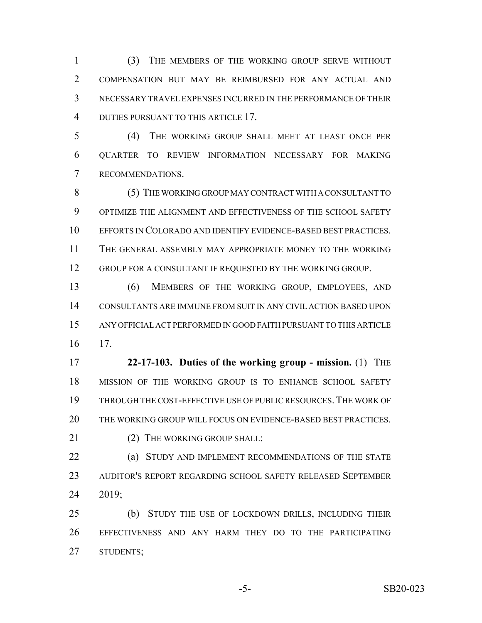(3) THE MEMBERS OF THE WORKING GROUP SERVE WITHOUT COMPENSATION BUT MAY BE REIMBURSED FOR ANY ACTUAL AND NECESSARY TRAVEL EXPENSES INCURRED IN THE PERFORMANCE OF THEIR DUTIES PURSUANT TO THIS ARTICLE 17.

 (4) THE WORKING GROUP SHALL MEET AT LEAST ONCE PER QUARTER TO REVIEW INFORMATION NECESSARY FOR MAKING RECOMMENDATIONS.

8 (5) THE WORKING GROUP MAY CONTRACT WITH A CONSULTANT TO OPTIMIZE THE ALIGNMENT AND EFFECTIVENESS OF THE SCHOOL SAFETY EFFORTS IN COLORADO AND IDENTIFY EVIDENCE-BASED BEST PRACTICES. THE GENERAL ASSEMBLY MAY APPROPRIATE MONEY TO THE WORKING 12 GROUP FOR A CONSULTANT IF REQUESTED BY THE WORKING GROUP.

 (6) MEMBERS OF THE WORKING GROUP, EMPLOYEES, AND CONSULTANTS ARE IMMUNE FROM SUIT IN ANY CIVIL ACTION BASED UPON ANY OFFICIAL ACT PERFORMED IN GOOD FAITH PURSUANT TO THIS ARTICLE 17.

 **22-17-103. Duties of the working group - mission.** (1) THE MISSION OF THE WORKING GROUP IS TO ENHANCE SCHOOL SAFETY THROUGH THE COST-EFFECTIVE USE OF PUBLIC RESOURCES.THE WORK OF THE WORKING GROUP WILL FOCUS ON EVIDENCE-BASED BEST PRACTICES.

21 (2) THE WORKING GROUP SHALL:

**(a) STUDY AND IMPLEMENT RECOMMENDATIONS OF THE STATE**  AUDITOR'S REPORT REGARDING SCHOOL SAFETY RELEASED SEPTEMBER 2019;

 (b) STUDY THE USE OF LOCKDOWN DRILLS, INCLUDING THEIR EFFECTIVENESS AND ANY HARM THEY DO TO THE PARTICIPATING STUDENTS;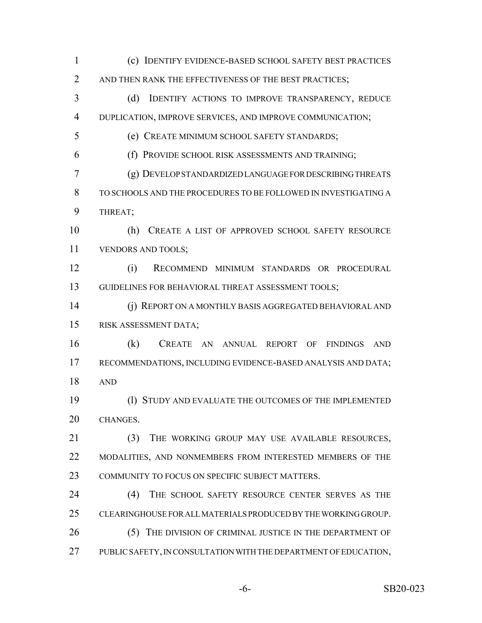(c) IDENTIFY EVIDENCE-BASED SCHOOL SAFETY BEST PRACTICES 2 AND THEN RANK THE EFFECTIVENESS OF THE BEST PRACTICES; (d) IDENTIFY ACTIONS TO IMPROVE TRANSPARENCY, REDUCE DUPLICATION, IMPROVE SERVICES, AND IMPROVE COMMUNICATION; (e) CREATE MINIMUM SCHOOL SAFETY STANDARDS; (f) PROVIDE SCHOOL RISK ASSESSMENTS AND TRAINING; (g) DEVELOP STANDARDIZED LANGUAGE FOR DESCRIBING THREATS TO SCHOOLS AND THE PROCEDURES TO BE FOLLOWED IN INVESTIGATING A THREAT; (h) CREATE A LIST OF APPROVED SCHOOL SAFETY RESOURCE VENDORS AND TOOLS; (i) RECOMMEND MINIMUM STANDARDS OR PROCEDURAL GUIDELINES FOR BEHAVIORAL THREAT ASSESSMENT TOOLS; (j) REPORT ON A MONTHLY BASIS AGGREGATED BEHAVIORAL AND RISK ASSESSMENT DATA; (k) CREATE AN ANNUAL REPORT OF FINDINGS AND RECOMMENDATIONS, INCLUDING EVIDENCE-BASED ANALYSIS AND DATA; AND (l) STUDY AND EVALUATE THE OUTCOMES OF THE IMPLEMENTED CHANGES. (3) THE WORKING GROUP MAY USE AVAILABLE RESOURCES, 22 MODALITIES, AND NONMEMBERS FROM INTERESTED MEMBERS OF THE COMMUNITY TO FOCUS ON SPECIFIC SUBJECT MATTERS. (4) THE SCHOOL SAFETY RESOURCE CENTER SERVES AS THE CLEARINGHOUSE FOR ALL MATERIALS PRODUCED BY THE WORKING GROUP. 26 (5) THE DIVISION OF CRIMINAL JUSTICE IN THE DEPARTMENT OF PUBLIC SAFETY, IN CONSULTATION WITH THE DEPARTMENT OF EDUCATION,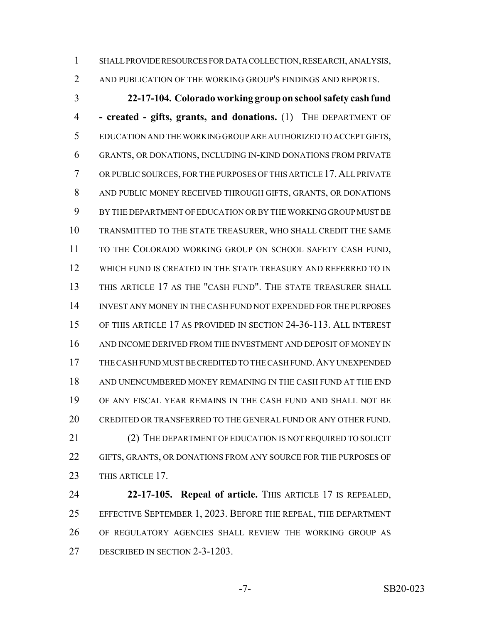SHALL PROVIDE RESOURCES FOR DATA COLLECTION, RESEARCH, ANALYSIS,

2 AND PUBLICATION OF THE WORKING GROUP'S FINDINGS AND REPORTS.

 **22-17-104. Colorado working group on school safety cash fund - created - gifts, grants, and donations.** (1) THE DEPARTMENT OF EDUCATION AND THE WORKING GROUP ARE AUTHORIZED TO ACCEPT GIFTS, GRANTS, OR DONATIONS, INCLUDING IN-KIND DONATIONS FROM PRIVATE OR PUBLIC SOURCES, FOR THE PURPOSES OF THIS ARTICLE 17.ALL PRIVATE AND PUBLIC MONEY RECEIVED THROUGH GIFTS, GRANTS, OR DONATIONS BY THE DEPARTMENT OF EDUCATION OR BY THE WORKING GROUP MUST BE TRANSMITTED TO THE STATE TREASURER, WHO SHALL CREDIT THE SAME TO THE COLORADO WORKING GROUP ON SCHOOL SAFETY CASH FUND, WHICH FUND IS CREATED IN THE STATE TREASURY AND REFERRED TO IN THIS ARTICLE 17 AS THE "CASH FUND". THE STATE TREASURER SHALL INVEST ANY MONEY IN THE CASH FUND NOT EXPENDED FOR THE PURPOSES OF THIS ARTICLE 17 AS PROVIDED IN SECTION 24-36-113. ALL INTEREST AND INCOME DERIVED FROM THE INVESTMENT AND DEPOSIT OF MONEY IN THE CASH FUND MUST BE CREDITED TO THE CASH FUND.ANY UNEXPENDED AND UNENCUMBERED MONEY REMAINING IN THE CASH FUND AT THE END OF ANY FISCAL YEAR REMAINS IN THE CASH FUND AND SHALL NOT BE CREDITED OR TRANSFERRED TO THE GENERAL FUND OR ANY OTHER FUND. 21 (2) THE DEPARTMENT OF EDUCATION IS NOT REQUIRED TO SOLICIT GIFTS, GRANTS, OR DONATIONS FROM ANY SOURCE FOR THE PURPOSES OF

23 THIS ARTICLE 17.

 **22-17-105. Repeal of article.** THIS ARTICLE 17 IS REPEALED, EFFECTIVE SEPTEMBER 1, 2023. BEFORE THE REPEAL, THE DEPARTMENT OF REGULATORY AGENCIES SHALL REVIEW THE WORKING GROUP AS DESCRIBED IN SECTION 2-3-1203.